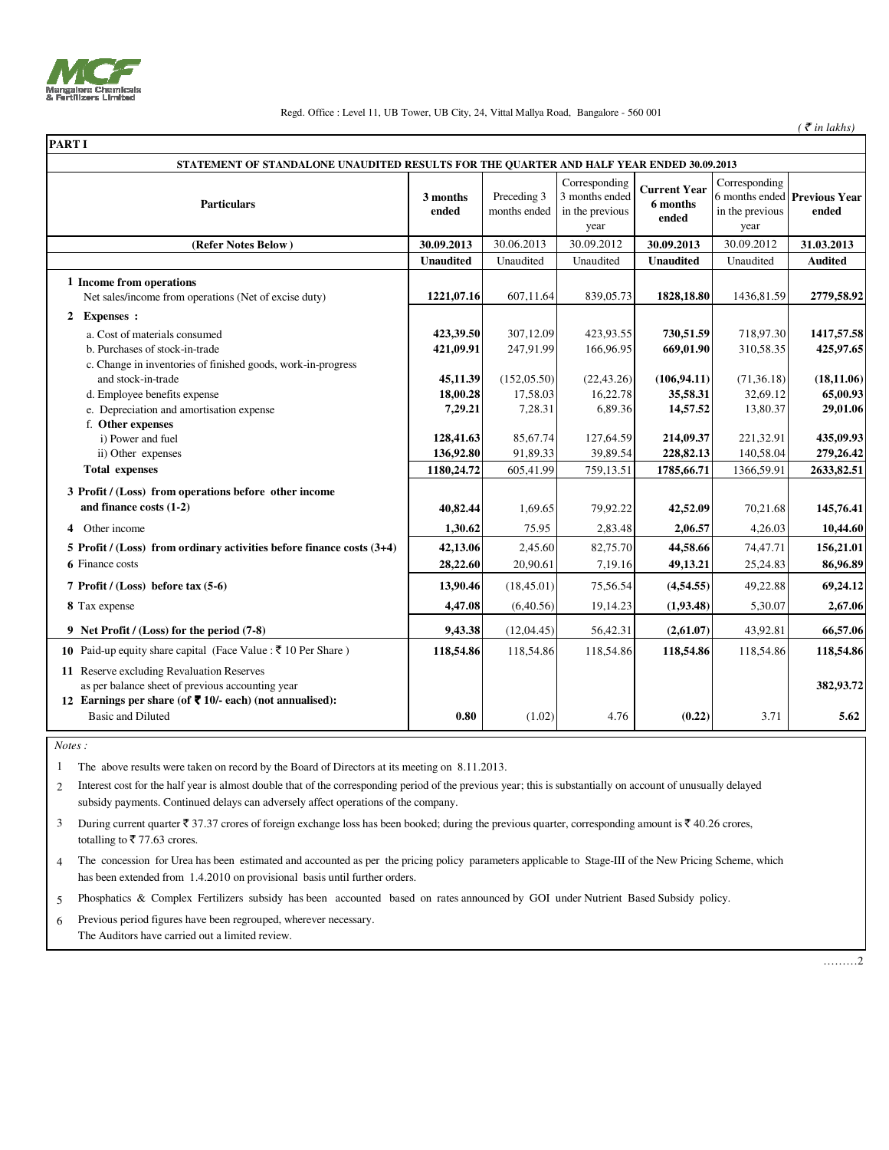

## Regd. Office : Level 11, UB Tower, UB City, 24, Vittal Mallya Road, Bangalore - 560 001

 $($   $\bar{\mathfrak{e}}$  *in lakhs*)

| <b>PART I</b>                                                                                                                                                                                                                                                                                                                                                                                                                  |                                                                                                               |                                                                                                               |                                                                                                                |                                                                                                                    |                                                                                                                   |                                                                                                                     |
|--------------------------------------------------------------------------------------------------------------------------------------------------------------------------------------------------------------------------------------------------------------------------------------------------------------------------------------------------------------------------------------------------------------------------------|---------------------------------------------------------------------------------------------------------------|---------------------------------------------------------------------------------------------------------------|----------------------------------------------------------------------------------------------------------------|--------------------------------------------------------------------------------------------------------------------|-------------------------------------------------------------------------------------------------------------------|---------------------------------------------------------------------------------------------------------------------|
| STATEMENT OF STANDALONE UNAUDITED RESULTS FOR THE QUARTER AND HALF YEAR ENDED 30.09.2013                                                                                                                                                                                                                                                                                                                                       |                                                                                                               |                                                                                                               |                                                                                                                |                                                                                                                    |                                                                                                                   |                                                                                                                     |
| <b>Particulars</b>                                                                                                                                                                                                                                                                                                                                                                                                             | 3 months<br>ended                                                                                             | Preceding 3<br>months ended                                                                                   | Corresponding<br>3 months ended<br>in the previous<br>year                                                     | <b>Current Year</b><br>6 months<br>ended                                                                           | Corresponding<br>in the previous<br>year                                                                          | 6 months ended Previous Year<br>ended                                                                               |
| (Refer Notes Below)                                                                                                                                                                                                                                                                                                                                                                                                            | 30.09.2013                                                                                                    | 30.06.2013                                                                                                    | 30.09.2012                                                                                                     | 30.09.2013                                                                                                         | 30.09.2012                                                                                                        | 31.03.2013                                                                                                          |
|                                                                                                                                                                                                                                                                                                                                                                                                                                | <b>Unaudited</b>                                                                                              | Unaudited                                                                                                     | Unaudited                                                                                                      | <b>Unaudited</b>                                                                                                   | Unaudited                                                                                                         | <b>Audited</b>                                                                                                      |
| 1 Income from operations<br>Net sales/income from operations (Net of excise duty)                                                                                                                                                                                                                                                                                                                                              | 1221,07.16                                                                                                    | 607,11.64                                                                                                     | 839,05.73                                                                                                      | 1828, 18.80                                                                                                        | 1436,81.59                                                                                                        | 2779,58.92                                                                                                          |
| 2 Expenses :<br>a. Cost of materials consumed<br>b. Purchases of stock-in-trade<br>c. Change in inventories of finished goods, work-in-progress<br>and stock-in-trade<br>d. Employee benefits expense<br>e. Depreciation and amortisation expense<br>f. Other expenses<br>i) Power and fuel<br>ii) Other expenses<br><b>Total expenses</b><br>3 Profit / (Loss) from operations before other income<br>and finance costs (1-2) | 423,39.50<br>421,09.91<br>45,11.39<br>18,00.28<br>7,29.21<br>128,41.63<br>136,92.80<br>1180,24.72<br>40,82.44 | 307,12.09<br>247,91.99<br>(152, 05.50)<br>17,58.03<br>7,28.31<br>85,67.74<br>91,89.33<br>605,41.99<br>1,69.65 | 423,93.55<br>166,96.95<br>(22, 43.26)<br>16,22.78<br>6,89.36<br>127,64.59<br>39,89.54<br>759,13.51<br>79,92.22 | 730,51.59<br>669,01.90<br>(106, 94.11)<br>35,58.31<br>14,57.52<br>214,09.37<br>228,82.13<br>1785,66.71<br>42,52.09 | 718,97.30<br>310,58.35<br>(71, 36.18)<br>32,69.12<br>13,80.37<br>221,32.91<br>140,58.04<br>1366,59.91<br>70,21.68 | 1417,57.58<br>425,97.65<br>(18, 11.06)<br>65,00.93<br>29,01.06<br>435,09.93<br>279,26.42<br>2633,82.51<br>145,76.41 |
| 4 Other income                                                                                                                                                                                                                                                                                                                                                                                                                 | 1,30.62                                                                                                       | 75.95                                                                                                         | 2,83.48                                                                                                        | 2,06.57                                                                                                            | 4,26.03                                                                                                           | 10,44.60                                                                                                            |
| 5 Profit / $(Loss)$ from ordinary activities before finance costs $(3+4)$<br><b>6</b> Finance costs                                                                                                                                                                                                                                                                                                                            | 42,13.06<br>28,22.60                                                                                          | 2,45.60<br>20,90.61                                                                                           | 82,75.70<br>7,19.16                                                                                            | 44,58.66<br>49,13.21                                                                                               | 74,47.71<br>25,24.83                                                                                              | 156,21.01<br>86,96.89                                                                                               |
| 7 Profit / $(Loss)$ before tax $(5-6)$                                                                                                                                                                                                                                                                                                                                                                                         | 13,90.46                                                                                                      | (18, 45.01)                                                                                                   | 75,56.54                                                                                                       | (4,54.55)                                                                                                          | 49,22.88                                                                                                          | 69,24.12                                                                                                            |
| 8 Tax expense                                                                                                                                                                                                                                                                                                                                                                                                                  | 4,47.08                                                                                                       | (6,40.56)                                                                                                     | 19,14.23                                                                                                       | (1,93.48)                                                                                                          | 5,30.07                                                                                                           | 2,67.06                                                                                                             |
| 9 Net Profit / (Loss) for the period (7-8)                                                                                                                                                                                                                                                                                                                                                                                     | 9,43.38                                                                                                       | (12,04.45)                                                                                                    | 56,42.31                                                                                                       | (2,61.07)                                                                                                          | 43,92.81                                                                                                          | 66,57.06                                                                                                            |
| 10 Paid-up equity share capital (Face Value : $\bar{\tau}$ 10 Per Share)                                                                                                                                                                                                                                                                                                                                                       | 118,54.86                                                                                                     | 118,54.86                                                                                                     | 118,54.86                                                                                                      | 118,54.86                                                                                                          | 118,54.86                                                                                                         | 118,54.86                                                                                                           |
| 11 Reserve excluding Revaluation Reserves<br>as per balance sheet of previous accounting year<br>12 Earnings per share (of ₹ 10/- each) (not annualised):                                                                                                                                                                                                                                                                      |                                                                                                               |                                                                                                               |                                                                                                                |                                                                                                                    |                                                                                                                   | 382,93.72                                                                                                           |
| <b>Basic and Diluted</b>                                                                                                                                                                                                                                                                                                                                                                                                       | 0.80                                                                                                          | (1.02)                                                                                                        | 4.76                                                                                                           | (0.22)                                                                                                             | 3.71                                                                                                              | 5.62                                                                                                                |

 *Notes :*

1 The above results were taken on record by the Board of Directors at its meeting on 8.11.2013.

2 Interest cost for the half year is almost double that of the corresponding period of the previous year; this is substantially on account of unusually delayed subsidy payments. Continued delays can adversely affect operations of the company.

3 totalling to  $\overline{5}$  77.63 crores. During current quarter  $\overline{\tau}$  37.37 crores of foreign exchange loss has been booked; during the previous quarter, corresponding amount is  $\overline{\tau}$  40.26 crores,

4 The concession for Urea has been estimated and accounted as per the pricing policy parameters applicable to Stage-III of the New Pricing Scheme, which has been extended from 1.4.2010 on provisional basis until further orders.

5 Phosphatics & Complex Fertilizers subsidy has been accounted based on rates announced by GOI under Nutrient Based Subsidy policy.

6 The Auditors have carried out a limited review. Previous period figures have been regrouped, wherever necessary.

………2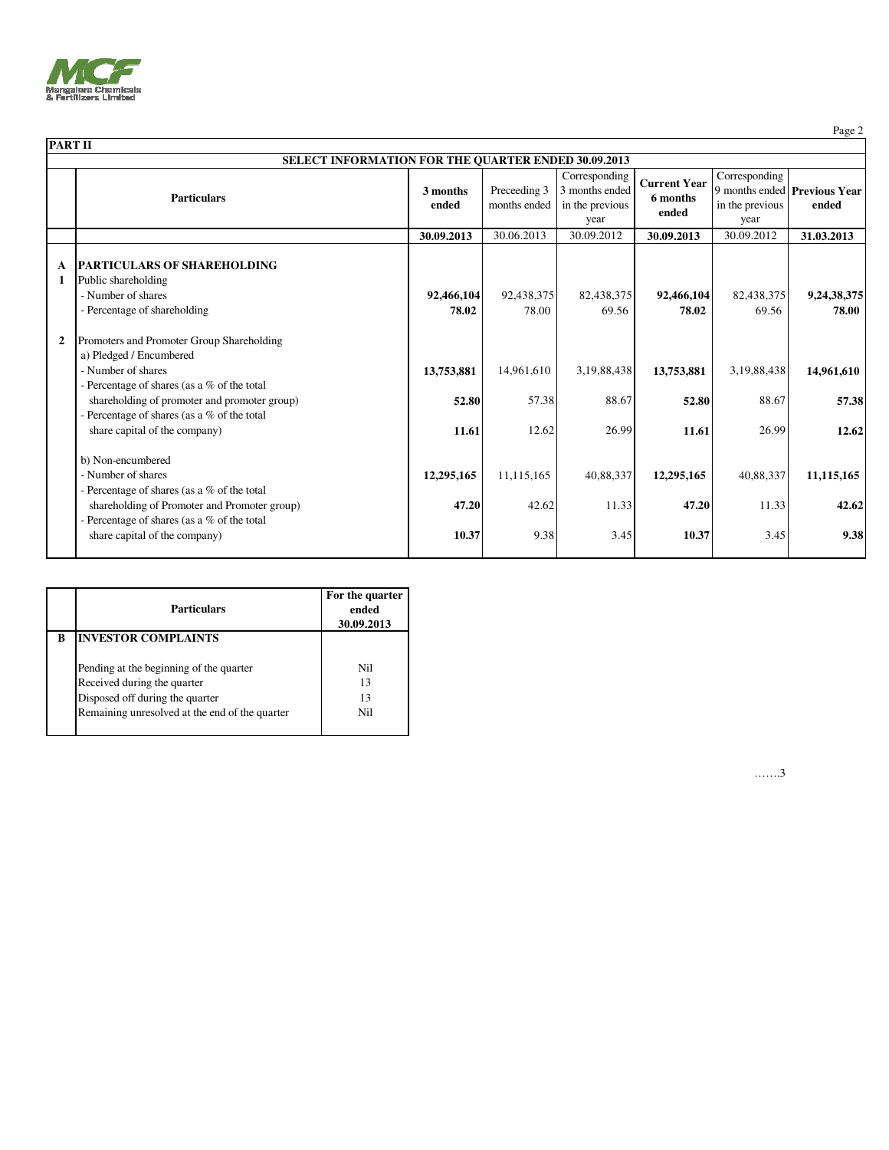

| <b>PART II</b> |                                                                                                                                                                             |                     |                              |                                                            |                                          |                                          |                                       |
|----------------|-----------------------------------------------------------------------------------------------------------------------------------------------------------------------------|---------------------|------------------------------|------------------------------------------------------------|------------------------------------------|------------------------------------------|---------------------------------------|
|                | SELECT INFORMATION FOR THE QUARTER ENDED 30.09.2013                                                                                                                         |                     |                              |                                                            |                                          |                                          |                                       |
|                | <b>Particulars</b>                                                                                                                                                          | 3 months<br>ended   | Preceeding 3<br>months ended | Corresponding<br>3 months ended<br>in the previous<br>year | <b>Current Year</b><br>6 months<br>ended | Corresponding<br>in the previous<br>year | 9 months ended Previous Year<br>ended |
|                |                                                                                                                                                                             | 30.09.2013          | 30.06.2013                   | 30.09.2012                                                 | 30.09.2013                               | 30.09.2012                               | 31.03.2013                            |
| A<br>-1        | <b>PARTICULARS OF SHAREHOLDING</b><br>Public shareholding<br>- Number of shares<br>- Percentage of shareholding                                                             | 92,466,104<br>78.02 | 92,438,375<br>78.00          | 82,438,375<br>69.56                                        | 92,466,104<br>78.02                      | 82,438,375<br>69.56                      | 9,24,38,375<br>78.00                  |
| $\overline{2}$ | Promoters and Promoter Group Shareholding<br>a) Pledged / Encumbered<br>- Number of shares                                                                                  | 13,753,881          | 14,961,610                   | 3,19,88,438                                                | 13,753,881                               | 3,19,88,438                              | 14,961,610                            |
|                | - Percentage of shares (as a % of the total<br>shareholding of promoter and promoter group)<br>- Percentage of shares (as a % of the total<br>share capital of the company) | 52.80<br>11.61      | 57.38<br>12.62               | 88.67<br>26.99                                             | 52.80<br>11.61                           | 88.67<br>26.99                           | 57.38<br>12.62                        |
|                | b) Non-encumbered<br>- Number of shares<br>- Percentage of shares (as a % of the total<br>shareholding of Promoter and Promoter group)                                      | 12,295,165<br>47.20 | 11,115,165<br>42.62          | 40,88,337<br>11.33                                         | 12,295,165<br>47.20                      | 40,88,337<br>11.33                       | 11,115,165<br>42.62                   |
|                | - Percentage of shares (as a % of the total<br>share capital of the company)                                                                                                | 10.37               | 9.38                         | 3.45                                                       | 10.37                                    | 3.45                                     | 9.38                                  |

|   | Particulars                                                                                                                                                 | For the quarter<br>ended<br>30.09.2013 |
|---|-------------------------------------------------------------------------------------------------------------------------------------------------------------|----------------------------------------|
| R | <b>INVESTOR COMPLAINTS</b>                                                                                                                                  |                                        |
|   | Pending at the beginning of the quarter<br>Received during the quarter<br>Disposed off during the quarter<br>Remaining unresolved at the end of the quarter | Nil<br>13<br>13<br>Nil                 |

…….3

Page 2